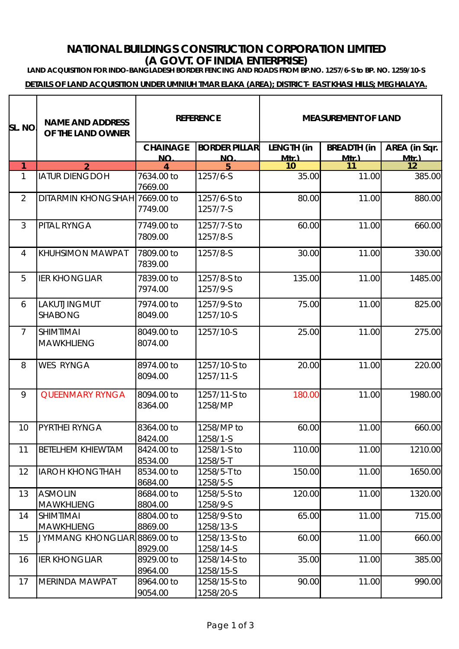### **NATIONAL BUILDINGS CONSTRUCTION CORPORATION LIMITED (A GOVT. OF INDIA ENTERPRISE)**

**LAND ACQUISITION FOR INDO-BANGLADESH BORDER FENCING AND ROADS FROM BP.NO. 1257/6-S to BP. NO. 1259/10-S**

**DETAILS OF LAND ACQUISITION UNDER UMNIUH TMAR ELAKA (AREA); DISTRICT- EAST KHASI HILLS; MEGHALAYA.**

| sl. no.        | <b>NAME AND ADDRESS</b><br>OF THE LAND OWNER | <b>REFERENCE</b>      |                           | <b>MEASUREMENT OF LAND</b> |                    |               |
|----------------|----------------------------------------------|-----------------------|---------------------------|----------------------------|--------------------|---------------|
|                |                                              | <b>CHAINAGE</b>       | <b>BORDER PILLAR</b>      | LENGTH (in                 | <b>BREADTH (in</b> | AREA (in Sqr. |
| 1              |                                              | <b>NO</b>             | NO.                       | $Mtr$ )<br>10              | $Mtr$ )<br>11      | $Mtr$ )<br>12 |
| $\mathbf{1}$   | <b>IATUR DIENGDOH</b>                        | 7634.00 to<br>7669.00 | 1257/6-S                  | 35.00                      | 11.00              | 385.00        |
| $\overline{2}$ | DITARMIN KHONGSHAH 7669.00 to                | 7749.00               | 1257/6-S to<br>1257/7-S   | 80.00                      | 11.00              | 880.00        |
| $\mathfrak{Z}$ | PITAL RYNGA                                  | 7749.00 to<br>7809.00 | 1257/7-S to<br>1257/8-S   | 60.00                      | 11.00              | 660.00        |
| $\overline{4}$ | KHUHSIMON MAWPAT                             | 7809.00 to<br>7839.00 | 1257/8-S                  | 30.00                      | 11.00              | 330.00        |
| 5              | <b>IER KHONGLIAR</b>                         | 7839.00 to<br>7974.00 | 1257/8-S to<br>1257/9-S   | 135.00                     | 11.00              | 1485.00       |
| 6              | LAKUTJINGMUT<br><b>SHABONG</b>               | 7974.00 to<br>8049.00 | 1257/9-S to<br>1257/10-S  | 75.00                      | 11.00              | 825.00        |
| $\overline{7}$ | <b>SHIMTIMAI</b><br><b>MAWKHLIENG</b>        | 8049.00 to<br>8074.00 | 1257/10-S                 | 25.00                      | 11.00              | 275.00        |
| 8              | <b>WES RYNGA</b>                             | 8974.00 to<br>8094.00 | 1257/10-S to<br>1257/11-S | 20.00                      | 11.00              | 220.00        |
| 9              | <b>QUEENMARY RYNGA</b>                       | 8094.00 to<br>8364.00 | 1257/11-S to<br>1258/MP   | 180.00                     | 11.00              | 1980.00       |
| 10             | PYRTHEI RYNGA                                | 8364.00 to<br>8424.00 | 1258/MP to<br>1258/1-S    | 60.00                      | 11.00              | 660.00        |
| 11             | <b>BETELHEM KHIEWTAM</b>                     | 8424.00 to<br>8534.00 | 1258/1-S to<br>1258/5-T   | 110.00                     | 11.00              | 1210.00       |
| 12             | <b>IAROH KHONGTHAH</b>                       | 8534.00 to<br>8684.00 | 1258/5-T to<br>1258/5-S   | 150.00                     | 11.00              | 1650.00       |
| 13             | <b>ASMOLIN</b><br><b>MAWKHLIENG</b>          | 8684.00 to<br>8804.00 | 1258/5-S to<br>1258/9-S   | 120.00                     | 11.00              | 1320.00       |
| 14             | <b>SHIMTIMAI</b><br><b>MAWKHLIENG</b>        | 8804.00 to<br>8869.00 | 1258/9-S to<br>1258/13-S  | 65.00                      | 11.00              | 715.00        |
| 15             | JYMMANG KHONGLIAR 8869.00 to                 | 8929.00               | 1258/13-S to<br>1258/14-S | 60.00                      | 11.00              | 660.00        |
| 16             | <b>IER KHONGLIAR</b>                         | 8929.00 to<br>8964.00 | 1258/14-S to<br>1258/15-S | 35.00                      | 11.00              | 385.00        |
| 17             | MERINDA MAWPAT                               | 8964.00 to<br>9054.00 | 1258/15-S to<br>1258/20-S | 90.00                      | 11.00              | 990.00        |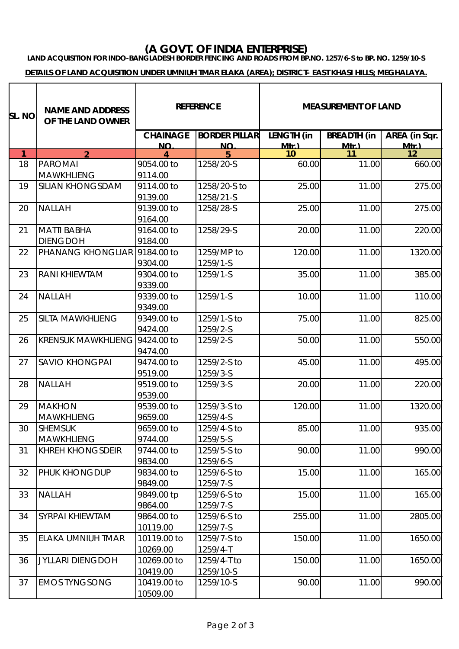# **(A GOVT. OF INDIA ENTERPRISE)**

#### **LAND ACQUISITION FOR INDO-BANGLADESH BORDER FENCING AND ROADS FROM BP.NO. 1257/6-S to BP. NO. 1259/10-S**

#### **DETAILS OF LAND ACQUISITION UNDER UMNIUH TMAR ELAKA (AREA); DISTRICT- EAST KHASI HILLS; MEGHALAYA.**

| SL. NO.      | <b>NAME AND ADDRESS</b><br>OF THE LAND OWNER | <b>REFERENCE</b>      |                         | <b>MEASUREMENT OF LAND</b> |                    |                    |
|--------------|----------------------------------------------|-----------------------|-------------------------|----------------------------|--------------------|--------------------|
|              |                                              | <b>CHAINAGE</b>       | <b>BORDER PILLAR</b>    | LENGTH (in                 | <b>BREADTH</b> (in | AREA (in Sqr.      |
| $\mathbf{1}$ | $\mathcal{P}$                                | NO.                   | <b>NO</b>               | $Mtr$ )<br>10              | $Mtr$ )<br>11      | <u>Mtr )</u><br>12 |
| 18           | <b>PAROMAI</b>                               | 9054.00 to            | 1258/20-S               | 60.00                      | 11.00              | 660.00             |
|              | <b>MAWKHLIENG</b>                            | 9114.00               |                         |                            |                    |                    |
| 19           | <b>SILIAN KHONGSDAM</b>                      | 9114.00 to            | 1258/20-S to            | 25.00                      | 11.00              | 275.00             |
|              |                                              | 9139.00               | 1258/21-S               |                            |                    |                    |
| 20           | <b>NALLAH</b>                                | 9139.00 to            | 1258/28-S               | 25.00                      | 11.00              | 275.00             |
|              |                                              | 9164.00               |                         |                            |                    |                    |
| 21           | <b>MATTI BABHA</b>                           | 9164.00 to            | 1258/29-S               | 20.00                      | 11.00              | 220.00             |
|              | <b>DIENGDOH</b>                              | 9184.00               |                         |                            |                    |                    |
| 22           | PHANANG KHONGLIAR 9184.00 to                 |                       | 1259/MP to              | 120.00                     | 11.00              | 1320.00            |
|              |                                              | 9304.00               | 1259/1-S                |                            |                    |                    |
| 23           | RANI KHIEWTAM                                | 9304.00 to            | 1259/1-S                | 35.00                      | 11.00              | 385.00             |
|              | <b>NALLAH</b>                                | 9339.00               | 1259/1-S                |                            |                    |                    |
| 24           |                                              | 9339.00 to<br>9349.00 |                         | 10.00                      | 11.00              | 110.00             |
| 25           | <b>SILTA MAWKHLIENG</b>                      | 9349.00 to            | 1259/1-S to             | 75.00                      | 11.00              | 825.00             |
|              |                                              | 9424.00               | 1259/2-S                |                            |                    |                    |
| 26           | KRENSUK MAWKHLIENG 9424.00 to                |                       | 1259/2-S                | 50.00                      | 11.00              | 550.00             |
|              |                                              | 9474.00               |                         |                            |                    |                    |
| 27           | <b>SAVIO KHONGPAI</b>                        | 9474.00 to            | 1259/2-S to             | 45.00                      | 11.00              | 495.00             |
|              |                                              | 9519.00               | 1259/3-S                |                            |                    |                    |
| 28           | <b>NALLAH</b>                                | 9519.00 to            | 1259/3-S                | 20.00                      | 11.00              | 220.00             |
|              |                                              | 9539.00               |                         |                            |                    |                    |
| 29           | <b>MAKHON</b>                                | 9539.00 to            | 1259/3-S to             | 120.00                     | 11.00              | 1320.00            |
|              | <b>MAWKHLIENG</b>                            | 9659.00               | 1259/4-S                |                            |                    |                    |
| 30           | <b>SHEMSUK</b>                               | 9659.00 to            | 1259/4-S to             | 85.00                      | 11.00              | 935.00             |
|              | <b>MAWKHLIENG</b>                            | 9744.00               | 1259/5-S                |                            |                    |                    |
| 31           | <b>KHREH KHONGSDEIR</b>                      | 9744.00 to            | 1259/5-S to             | 90.00                      | 11.00              | 990.00             |
|              |                                              | 9834.00               | 1259/6-S                |                            |                    |                    |
| 32           | PHUK KHONGDUP                                | 9834.00 to            | 1259/6-S to             | 15.00                      | 11.00              | 165.00             |
| 33           | <b>NALLAH</b>                                | 9849.00<br>9849.00 tp | 1259/7-S<br>1259/6-S to | 15.00                      | 11.00              | 165.00             |
|              |                                              | 9864.00               | 1259/7-S                |                            |                    |                    |
| 34           | SYRPAI KHIEWTAM                              | 9864.00 to            | 1259/6-S to             | 255.00                     | 11.00              | 2805.00            |
|              |                                              | 10119.00              | 1259/7-S                |                            |                    |                    |
| 35           | ELAKA UMNIUH TMAR                            | 10119.00 to           | 1259/7-S to             | 150.00                     | 11.00              | 1650.00            |
|              |                                              | 10269.00              | 1259/4-T                |                            |                    |                    |
| 36           | <b>JYLLARI DIENGDOH</b>                      | 10269.00 to           | 1259/4-T to             | 150.00                     | 11.00              | 1650.00            |
|              |                                              | 10419.00              | 1259/10-S               |                            |                    |                    |
| 37           | <b>EMOS TYNGSONG</b>                         | 10419.00 to           | 1259/10-S               | 90.00                      | 11.00              | 990.00             |
|              |                                              | 10509.00              |                         |                            |                    |                    |